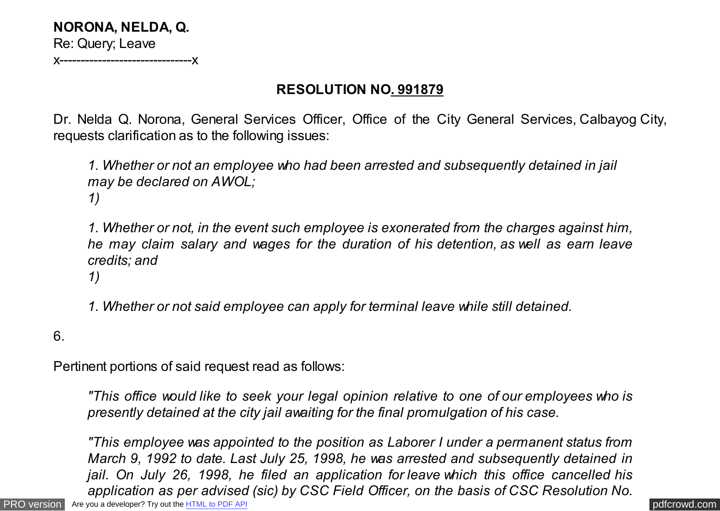**NORONA, NELDA, Q.** Re: Query; Leave

x-------------------------------x

## **RESOLUTION NO. 991879**

Dr. Nelda Q. Norona, General Services Officer, Office of the City General Services, Calbayog City, requests clarification as to the following issues:

*1. Whether or not an employee who had been arrested and subsequently detained in jail may be declared on AWOL; 1)*

*1. Whether or not, in the event such employee is exonerated from the charges against him, he may claim salary and wages for the duration of his detention, as well as earn leave credits; and*

*1)*

*1. Whether or not said employee can apply for terminal leave while still detained.*

6.

Pertinent portions of said request read as follows:

*"This office would like to seek your legal opinion relative to one of our employees who is presently detained at the city jail awaiting for the final promulgation of his case.*

[PRO version](http://pdfcrowd.com/customize/) Are you a developer? Try out th[e HTML to PDF API](http://pdfcrowd.com/html-to-pdf-api/?ref=pdf) [pdfcrowd.com](http://pdfcrowd.com) *"This employee was appointed to the position as Laborer I under a permanent status from March 9, 1992 to date. Last July 25, 1998, he was arrested and subsequently detained in jail. On July 26, 1998, he filed an application for leave which this office cancelled his application as per advised (sic) by CSC Field Officer, on the basis of CSC Resolution No.*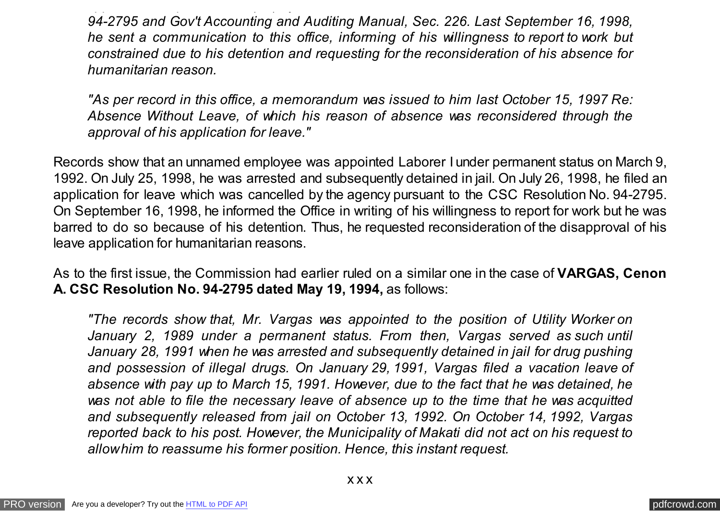*94-2795 and Gov't Accounting and Auditing Manual, Sec. 226. Last September 16, 1998, he sent a communication to this office, informing of his willingness to report to work but constrained due to his detention and requesting for the reconsideration of his absence for humanitarian reason.*

*application as per advised (sic) by CSC Field Officer, on the basis of CSC Resolution No.*

*"As per record in this office, a memorandum was issued to him last October 15, 1997 Re: Absence Without Leave, of which his reason of absence was reconsidered through the approval of his application for leave."*

Records show that an unnamed employee was appointed Laborer I under permanent status on March 9, 1992. On July 25, 1998, he was arrested and subsequently detained in jail. On July 26, 1998, he filed an application for leave which was cancelled by the agency pursuant to the CSC Resolution No. 94-2795. On September 16, 1998, he informed the Office in writing of his willingness to report for work but he was barred to do so because of his detention. Thus, he requested reconsideration of the disapproval of his leave application for humanitarian reasons.

As to the first issue, the Commission had earlier ruled on a similar one in the case of **VARGAS, Cenon A. CSC Resolution No. 94-2795 dated May 19, 1994,** as follows:

*"The records show that, Mr. Vargas was appointed to the position of Utility Worker on January 2, 1989 under a permanent status. From then, Vargas served as such until January 28, 1991 when he was arrested and subsequently detained in jail for drug pushing and possession of illegal drugs. On January 29, 1991, Vargas filed a vacation leave of absence with pay up to March 15, 1991. However, due to the fact that he was detained, he was not able to file the necessary leave of absence up to the time that he was acquitted and subsequently released from jail on October 13, 1992. On October 14, 1992, Vargas reported back to his post. However, the Municipality of Makati did not act on his request to allow him to reassume his former position. Hence, this instant request.*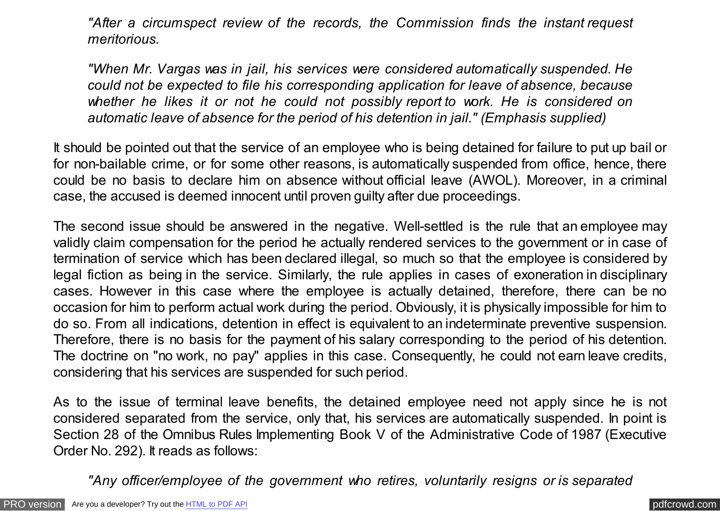*"After a circumspect review of the records, the Commission finds the instant request meritorious.*

*"When Mr. Vargas was in jail, his services were considered automatically suspended. He could not be expected to file his corresponding application for leave of absence, because whether he likes it or not he could not possibly report to work. He is considered on automatic leave of absence for the period of his detention in jail." (Emphasis supplied)*

It should be pointed out that the service of an employee who is being detained for failure to put up bail or for non-bailable crime, or for some other reasons, is automatically suspended from office, hence, there could be no basis to declare him on absence without official leave (AWOL). Moreover, in a criminal case, the accused is deemed innocent until proven guilty after due proceedings.

The second issue should be answered in the negative. Well-settled is the rule that an employee may validly claim compensation for the period he actually rendered services to the government or in case of termination of service which has been declared illegal, so much so that the employee is considered by legal fiction as being in the service. Similarly, the rule applies in cases of exoneration in disciplinary cases. However in this case where the employee is actually detained, therefore, there can be no occasion for him to perform actual work during the period. Obviously, it is physically impossible for him to do so. From all indications, detention in effect is equivalent to an indeterminate preventive suspension. Therefore, there is no basis for the payment of his salary corresponding to the period of his detention. The doctrine on "no work, no pay" applies in this case. Consequently, he could not earn leave credits, considering that his services are suspended for such period.

As to the issue of terminal leave benefits, the detained employee need not apply since he is not considered separated from the service, only that, his services are automatically suspended. In point is Section 28 of the Omnibus Rules Implementing Book V of the Administrative Code of 1987 (Executive Order No. 292). It reads as follows:

*"Any officer/employee of the government who retires, voluntarily resigns or is separated*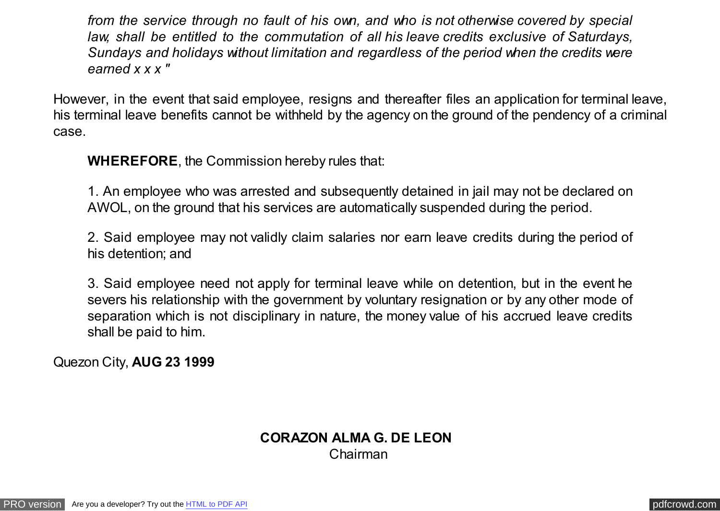*from the service through no fault of his own, and who is not otherwise covered by special law, shall be entitled to the commutation of all his leave credits exclusive of Saturdays, Sundays and holidays without limitation and regardless of the period when the credits were earned x x x "*

However, in the event that said employee, resigns and thereafter files an application for terminal leave, his terminal leave benefits cannot be withheld by the agency on the ground of the pendency of a criminal case.

**WHEREFORE**, the Commission hereby rules that:

1. An employee who was arrested and subsequently detained in jail may not be declared on AWOL, on the ground that his services are automatically suspended during the period.

2. Said employee may not validly claim salaries nor earn leave credits during the period of his detention; and

3. Said employee need not apply for terminal leave while on detention, but in the event he severs his relationship with the government by voluntary resignation or by any other mode of separation which is not disciplinary in nature, the money value of his accrued leave credits shall be paid to him.

Quezon City, **AUG 23 1999**

## **CORAZON ALMA G. DE LEON** Chairman